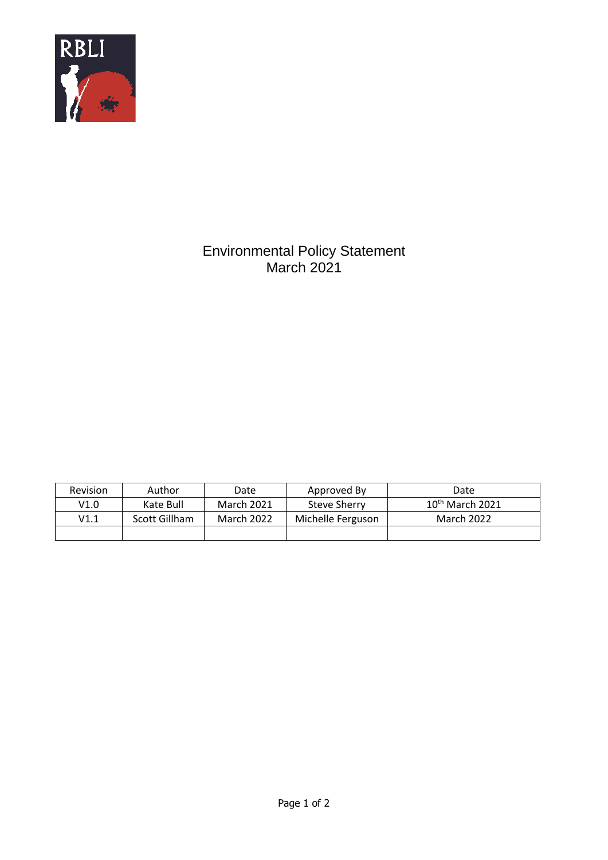

## Environmental Policy Statement March 2021

| <b>Revision</b> | Author        | Date              | Approved By       | Date                        |
|-----------------|---------------|-------------------|-------------------|-----------------------------|
| V1.0            | Kate Bull     | <b>March 2021</b> | Steve Sherry      | $10^{\text{th}}$ March 2021 |
| V1.1            | Scott Gillham | <b>March 2022</b> | Michelle Ferguson | March 2022                  |
|                 |               |                   |                   |                             |